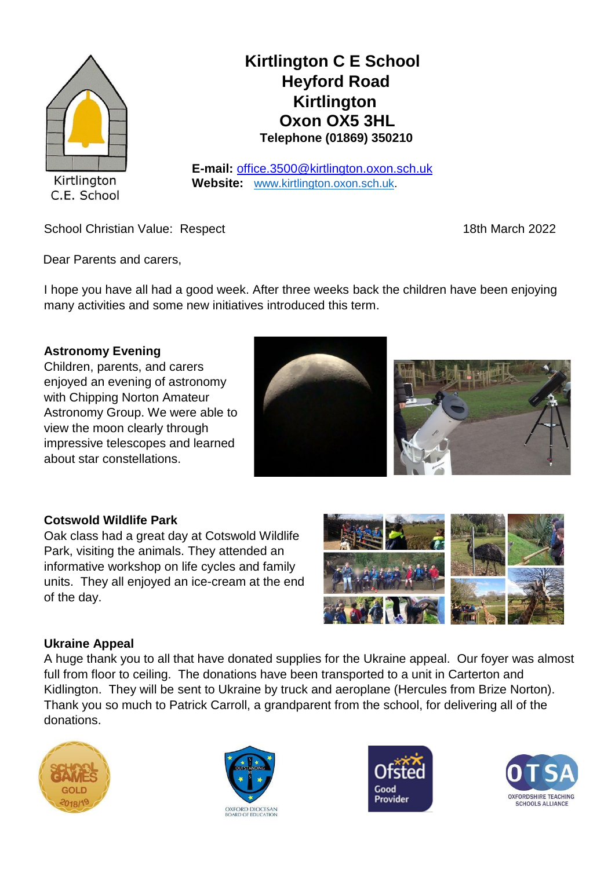

# **Kirtlington C E School Heyford Road Kirtlington Oxon OX5 3HL Telephone (01869) 350210**

**E-mail:** office.3500@kirtlington.oxon.sch.uk **Website:** [www.kirtlington.oxon.sch.uk.](http://www.kirtlington.oxon.sch.uk/)

School Christian Value: Respect 18th March 2022

Dear Parents and carers,

I hope you have all had a good week. After three weeks back the children have been enjoying many activities and some new initiatives introduced this term.

# **Astronomy Evening**

Children, parents, and carers enjoyed an evening of astronomy with Chipping Norton Amateur Astronomy Group. We were able to view the moon clearly through impressive telescopes and learned about star constellations.



# **Cotswold Wildlife Park**

Oak class had a great day at Cotswold Wildlife Park, visiting the animals. They attended an informative workshop on life cycles and family units. They all enjoyed an ice-cream at the end of the day.



# **Ukraine Appeal**

A huge thank you to all that have donated supplies for the Ukraine appeal. Our foyer was almost full from floor to ceiling. The donations have been transported to a unit in Carterton and Kidlington. They will be sent to Ukraine by truck and aeroplane (Hercules from Brize Norton). Thank you so much to Patrick Carroll, a grandparent from the school, for delivering all of the donations.







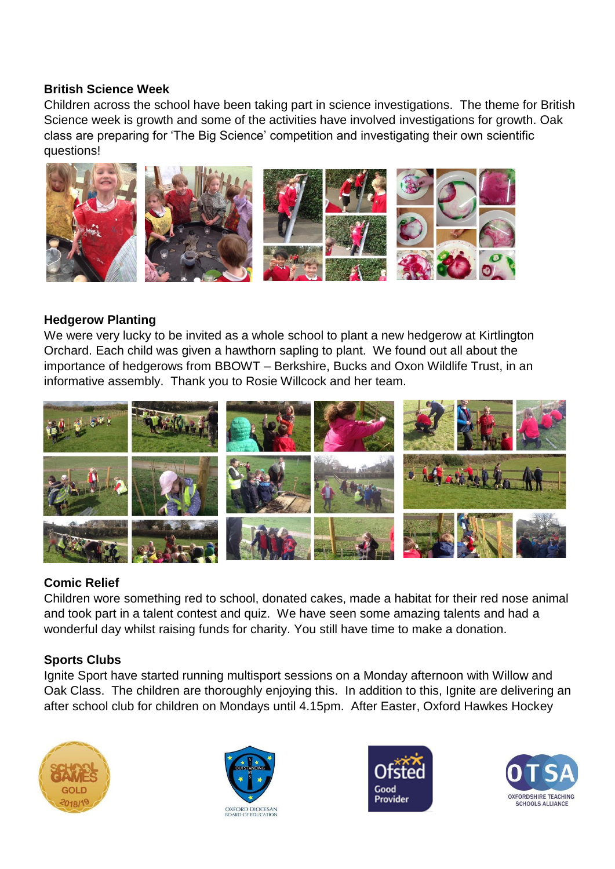## **British Science Week**

Children across the school have been taking part in science investigations. The theme for British Science week is growth and some of the activities have involved investigations for growth. Oak class are preparing for 'The Big Science' competition and investigating their own scientific questions!



## **Hedgerow Planting**

We were very lucky to be invited as a whole school to plant a new hedgerow at Kirtlington Orchard. Each child was given a hawthorn sapling to plant. We found out all about the importance of hedgerows from BBOWT – Berkshire, Bucks and Oxon Wildlife Trust, in an informative assembly. Thank you to Rosie Willcock and her team.



#### **Comic Relief**

Children wore something red to school, donated cakes, made a habitat for their red nose animal and took part in a talent contest and quiz. We have seen some amazing talents and had a wonderful day whilst raising funds for charity. You still have time to make a donation.

#### **Sports Clubs**

Ignite Sport have started running multisport sessions on a Monday afternoon with Willow and Oak Class. The children are thoroughly enjoying this. In addition to this, Ignite are delivering an after school club for children on Mondays until 4.15pm. After Easter, Oxford Hawkes Hockey